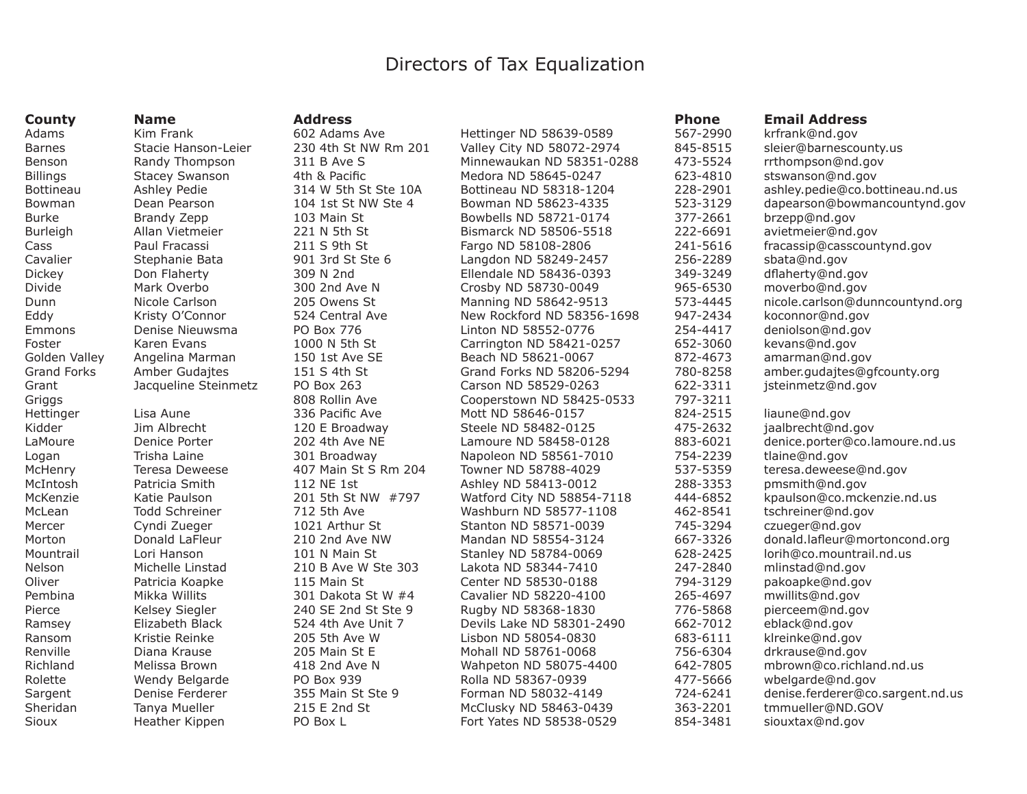## Directors of Tax Equalization

| <b>County</b>      | <b>Name</b>           | <b>Address</b>       |                            | <b>Phone</b> | <b>Email Address</b>             |
|--------------------|-----------------------|----------------------|----------------------------|--------------|----------------------------------|
| Adams              | Kim Frank             | 602 Adams Ave        | Hettinger ND 58639-0589    | 567-2990     | krfrank@nd.gov                   |
| <b>Barnes</b>      | Stacie Hanson-Leier   | 230 4th St NW Rm 201 | Valley City ND 58072-2974  | 845-8515     | sleier@barnescounty.us           |
| Benson             | Randy Thompson        | 311 B Ave S          | Minnewaukan ND 58351-0288  | 473-5524     | rrthompson@nd.gov                |
| <b>Billings</b>    | <b>Stacey Swanson</b> | 4th & Pacific        | Medora ND 58645-0247       | 623-4810     | stswanson@nd.gov                 |
| <b>Bottineau</b>   | Ashley Pedie          | 314 W 5th St Ste 10A | Bottineau ND 58318-1204    | 228-2901     | ashley.pedie@co.bottineau.nd.us  |
| Bowman             | Dean Pearson          | 104 1st St NW Ste 4  | Bowman ND 58623-4335       | 523-3129     | dapearson@bowmancountynd.gov     |
| <b>Burke</b>       | Brandy Zepp           | 103 Main St          | Bowbells ND 58721-0174     | 377-2661     | brzepp@nd.gov                    |
| Burleigh           | Allan Vietmeier       | 221 N 5th St         | Bismarck ND 58506-5518     | 222-6691     | avietmeier@nd.gov                |
| Cass               | Paul Fracassi         | 211 S 9th St         | Fargo ND 58108-2806        | 241-5616     | fracassip@casscountynd.gov       |
| Cavalier           | Stephanie Bata        | 901 3rd St Ste 6     | Langdon ND 58249-2457      | 256-2289     | sbata@nd.gov                     |
| <b>Dickey</b>      | Don Flaherty          | 309 N 2nd            | Ellendale ND 58436-0393    | 349-3249     | dflaherty@nd.gov                 |
| Divide             | Mark Overbo           | 300 2nd Ave N        | Crosby ND 58730-0049       | 965-6530     | moverbo@nd.gov                   |
| Dunn               | Nicole Carlson        | 205 Owens St         | Manning ND 58642-9513      | 573-4445     | nicole.carlson@dunncountynd.org  |
| Eddy               | Kristy O'Connor       | 524 Central Ave      | New Rockford ND 58356-1698 | 947-2434     | koconnor@nd.gov                  |
| Emmons             | Denise Nieuwsma       | PO Box 776           | Linton ND 58552-0776       | 254-4417     | deniolson@nd.gov                 |
| Foster             | Karen Evans           | 1000 N 5th St        | Carrington ND 58421-0257   | 652-3060     | kevans@nd.gov                    |
| Golden Valley      | Angelina Marman       | 150 1st Ave SE       | Beach ND 58621-0067        | 872-4673     | amarman@nd.gov                   |
| <b>Grand Forks</b> | <b>Amber Gudajtes</b> | 151 S 4th St         | Grand Forks ND 58206-5294  | 780-8258     | amber.gudajtes@gfcounty.org      |
| Grant              | Jacqueline Steinmetz  | PO Box 263           | Carson ND 58529-0263       | 622-3311     | jsteinmetz@nd.gov                |
| Griggs             |                       | 808 Rollin Ave       | Cooperstown ND 58425-0533  | 797-3211     |                                  |
| Hettinger          | Lisa Aune             | 336 Pacific Ave      | Mott ND 58646-0157         | 824-2515     | liaune@nd.gov                    |
| Kidder             | Jim Albrecht          | 120 E Broadway       | Steele ND 58482-0125       | 475-2632     | jaalbrecht@nd.gov                |
| LaMoure            | Denice Porter         | 202 4th Ave NE       | Lamoure ND 58458-0128      | 883-6021     | denice.porter@co.lamoure.nd.us   |
| Logan              | Trisha Laine          | 301 Broadway         | Napoleon ND 58561-7010     | 754-2239     | tlaine@nd.gov                    |
| McHenry            | Teresa Deweese        | 407 Main St S Rm 204 | Towner ND 58788-4029       | 537-5359     | teresa.deweese@nd.gov            |
| McIntosh           | Patricia Smith        | 112 NE 1st           | Ashley ND 58413-0012       | 288-3353     | pmsmith@nd.gov                   |
| McKenzie           | Katie Paulson         | 201 5th St NW #797   | Watford City ND 58854-7118 | 444-6852     | kpaulson@co.mckenzie.nd.us       |
| McLean             | Todd Schreiner        | 712 5th Ave          | Washburn ND 58577-1108     | 462-8541     | tschreiner@nd.gov                |
| Mercer             | Cyndi Zueger          | 1021 Arthur St       | Stanton ND 58571-0039      | 745-3294     | czueger@nd.gov                   |
| Morton             | Donald LaFleur        | 210 2nd Ave NW       | Mandan ND 58554-3124       | 667-3326     | donald.lafleur@mortoncond.org    |
| Mountrail          | Lori Hanson           | 101 N Main St        | Stanley ND 58784-0069      | 628-2425     | lorih@co.mountrail.nd.us         |
| Nelson             | Michelle Linstad      | 210 B Ave W Ste 303  | Lakota ND 58344-7410       | 247-2840     | mlinstad@nd.gov                  |
| Oliver             | Patricia Koapke       | 115 Main St          | Center ND 58530-0188       | 794-3129     | pakoapke@nd.gov                  |
| Pembina            | Mikka Willits         | 301 Dakota St W #4   | Cavalier ND 58220-4100     | 265-4697     | mwillits@nd.gov                  |
| Pierce             | Kelsey Siegler        | 240 SE 2nd St Ste 9  | Rugby ND 58368-1830        | 776-5868     | pierceem@nd.gov                  |
| Ramsey             | Elizabeth Black       | 524 4th Ave Unit 7   | Devils Lake ND 58301-2490  | 662-7012     | eblack@nd.gov                    |
| Ransom             | Kristie Reinke        | 205 5th Ave W        | Lisbon ND 58054-0830       | 683-6111     | klreinke@nd.gov                  |
| Renville           | Diana Krause          | 205 Main St E        | Mohall ND 58761-0068       | 756-6304     | drkrause@nd.gov                  |
| Richland           | Melissa Brown         | 418 2nd Ave N        | Wahpeton ND 58075-4400     | 642-7805     | mbrown@co.richland.nd.us         |
| Rolette            | Wendy Belgarde        | PO Box 939           | Rolla ND 58367-0939        | 477-5666     | wbelgarde@nd.gov                 |
| Sargent            | Denise Ferderer       | 355 Main St Ste 9    | Forman ND 58032-4149       | 724-6241     | denise.ferderer@co.sargent.nd.us |
| Sheridan           | Tanya Mueller         | 215 E 2nd St         | McClusky ND 58463-0439     | 363-2201     | tmmueller@ND.GOV                 |
| Sioux              | Heather Kippen        | PO Box L             | Fort Yates ND 58538-0529   | 854-3481     | siouxtax@nd.gov                  |